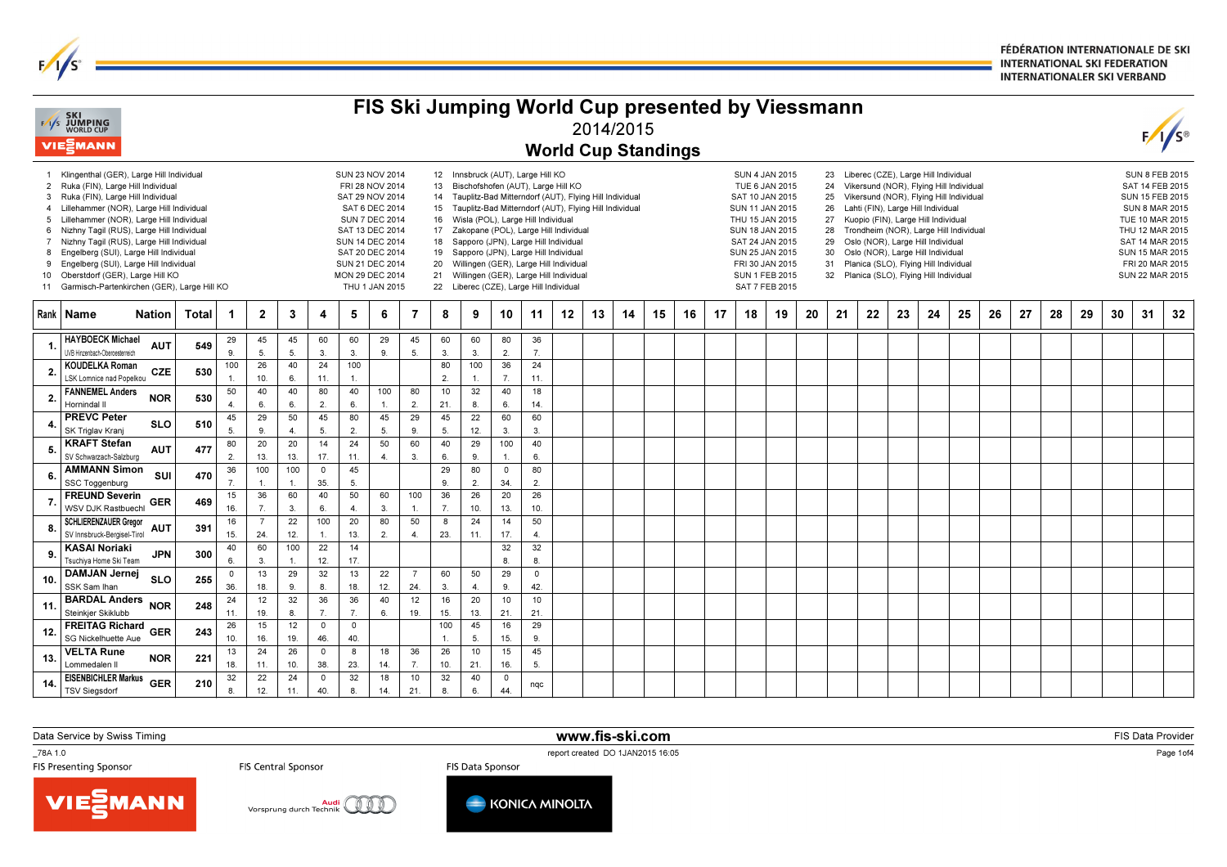FÉDÉRATION INTERNATIONALE DE SKI **INTERNATIONAL SKI FEDERATION INTERNATIONALER SKI VERBAND** 

|                                 | <b>EXI SKI</b><br>EXIS JUMPING<br>WORLD CUP<br><b>VIE</b> ZMANN                                                                                                                                                                                                                                                                                                                                                                                                                          |              |                      |                        |                      |                      |                                                                                                           |                                                                                                                    |                      |                                                                                                                                                                                                                                                                                                                                                                                                                                                                                                                                                            |                       |                                |                        | FIS Ski Jumping World Cup presented by Viessmann<br><b>World Cup Standings</b> | 2014/2015 |    |    |                                                                                                                                                                                                                                                                                                                                                                                                                                                                                                                                                                                                                                                                                                                    |    |    |    |    |    |    |    |    |    |    |    |    |    |                                                                                                                                                                                                               |    | $F/I/S^{\circ}$ |
|---------------------------------|------------------------------------------------------------------------------------------------------------------------------------------------------------------------------------------------------------------------------------------------------------------------------------------------------------------------------------------------------------------------------------------------------------------------------------------------------------------------------------------|--------------|----------------------|------------------------|----------------------|----------------------|-----------------------------------------------------------------------------------------------------------|--------------------------------------------------------------------------------------------------------------------|----------------------|------------------------------------------------------------------------------------------------------------------------------------------------------------------------------------------------------------------------------------------------------------------------------------------------------------------------------------------------------------------------------------------------------------------------------------------------------------------------------------------------------------------------------------------------------------|-----------------------|--------------------------------|------------------------|--------------------------------------------------------------------------------|-----------|----|----|--------------------------------------------------------------------------------------------------------------------------------------------------------------------------------------------------------------------------------------------------------------------------------------------------------------------------------------------------------------------------------------------------------------------------------------------------------------------------------------------------------------------------------------------------------------------------------------------------------------------------------------------------------------------------------------------------------------------|----|----|----|----|----|----|----|----|----|----|----|----|----|---------------------------------------------------------------------------------------------------------------------------------------------------------------------------------------------------------------|----|-----------------|
| 4<br>5<br>$7^{\circ}$<br>8<br>9 | 1 Klingenthal (GER), Large Hill Individual<br>2 Ruka (FIN), Large Hill Individual<br>3 Ruka (FIN), Large Hill Individual<br>Lillehammer (NOR), Large Hill Individual<br>Lillehammer (NOR), Large Hill Individual<br>6 Nizhny Tagil (RUS), Large Hill Individual<br>Nizhny Tagil (RUS), Large Hill Individual<br>Engelberg (SUI), Large Hill Individual<br>Engelberg (SUI), Large Hill Individual<br>10 Oberstdorf (GER), Large Hill KO<br>11 Garmisch-Partenkirchen (GER), Large Hill KO |              |                      |                        |                      |                      | SUN 23 NOV 2014<br><b>SUN 14 DEC 2014</b><br>SAT 20 DEC 2014<br>SUN 21 DEC 2014<br><b>MON 29 DEC 2014</b> | FRI 28 NOV 2014<br>SAT 29 NOV 2014<br>SAT 6 DEC 2014<br><b>SUN 7 DEC 2014</b><br>SAT 13 DEC 2014<br>THU 1 JAN 2015 |                      | 12 Innsbruck (AUT), Large Hill KO<br>Bischofshofen (AUT), Large Hill KO<br>13<br>14 Tauplitz-Bad Mitterndorf (AUT), Flying Hill Individual<br>15 <sup>15</sup><br>Tauplitz-Bad Mitterndorf (AUT), Flying Hill Individual<br>Wisla (POL), Large Hill Individual<br>16<br>17<br>Zakopane (POL), Large Hill Individual<br>Sapporo (JPN), Large Hill Individual<br>18<br>Sapporo (JPN), Large Hill Individual<br>19<br>Willingen (GER), Large Hill Individual<br>20<br>Willingen (GER), Large Hill Individual<br>21<br>22 Liberec (CZE), Large Hill Individual |                       |                                |                        |                                                                                |           |    |    | Liberec (CZE), Large Hill Individual<br><b>SUN 4 JAN 2015</b><br>23<br>TUE 6 JAN 2015<br>Vikersund (NOR), Flying Hill Individual<br>24<br>SAT 10 JAN 2015<br>Vikersund (NOR), Flying Hill Individual<br>25<br><b>SUN 11 JAN 2015</b><br>26<br>Lahti (FIN), Large Hill Individual<br>THU 15 JAN 2015<br>27<br>Kuopio (FIN), Large Hill Individual<br><b>SUN 18 JAN 2015</b><br>Trondheim (NOR), Large Hill Individual<br>28<br>SAT 24 JAN 2015<br>Oslo (NOR), Large Hill Individual<br>29<br>SUN 25 JAN 2015<br>30<br>Oslo (NOR), Large Hill Individual<br>FRI 30 JAN 2015<br>Planica (SLO), Flying Hill Individual<br>31<br><b>SUN 1 FEB 2015</b><br>32<br>Planica (SLO), Flying Hill Individual<br>SAT 7 FEB 2015 |    |    |    |    |    |    |    |    |    |    |    |    |    | <b>SUN 8 FEB 2015</b><br>SAT 14 FEB 2015<br><b>SUN 15 FEB 2015</b><br><b>SUN 8 MAR 2015</b><br>TUE 10 MAR 2015<br>THU 12 MAR 2015<br>SAT 14 MAR 2015<br>SUN 15 MAR 2015<br>FRI 20 MAR 2015<br>SUN 22 MAR 2015 |    |                 |
|                                 | Rank   Name<br><b>Nation</b>                                                                                                                                                                                                                                                                                                                                                                                                                                                             | <b>Total</b> | -1                   | $\mathbf{2}$           | $\mathbf{3}$         | 4                    | 5                                                                                                         | 6                                                                                                                  | 7                    | 8                                                                                                                                                                                                                                                                                                                                                                                                                                                                                                                                                          | 9                     | 10                             | 11                     | 12                                                                             | 13        | 14 | 15 | 16                                                                                                                                                                                                                                                                                                                                                                                                                                                                                                                                                                                                                                                                                                                 | 17 | 18 | 19 | 20 | 21 | 22 | 23 | 24 | 25 | 26 | 27 | 28 | 29 | 30                                                                                                                                                                                                            | 31 | 32              |
|                                 | <b>HAYBOECK Michael</b><br><b>AUT</b><br>JVB Hinzenbach-Oberoesterreich                                                                                                                                                                                                                                                                                                                                                                                                                  | 549          | 29<br>9              | 45<br>5 <sub>0</sub>   | 45<br>5              | 60<br>3              | 60<br>3.                                                                                                  | 29<br>9.                                                                                                           | 45<br>5.             | 60<br>3.                                                                                                                                                                                                                                                                                                                                                                                                                                                                                                                                                   | 60<br>3.              | 80<br>2.                       | 36<br>7.               |                                                                                |           |    |    |                                                                                                                                                                                                                                                                                                                                                                                                                                                                                                                                                                                                                                                                                                                    |    |    |    |    |    |    |    |    |    |    |    |    |    |                                                                                                                                                                                                               |    |                 |
| $\overline{\mathbf{2}}$         | KOUDELKA Roman<br><b>CZE</b><br>LSK Lomnice nad Popelkou                                                                                                                                                                                                                                                                                                                                                                                                                                 | 530          | 100                  | 26<br>10.              | 40<br>6              | 24<br>11.            | 100                                                                                                       |                                                                                                                    |                      | 80<br>2.                                                                                                                                                                                                                                                                                                                                                                                                                                                                                                                                                   | 100<br>$\overline{1}$ | 36<br>$\overline{7}$ .         | 24<br>11.              |                                                                                |           |    |    |                                                                                                                                                                                                                                                                                                                                                                                                                                                                                                                                                                                                                                                                                                                    |    |    |    |    |    |    |    |    |    |    |    |    |    |                                                                                                                                                                                                               |    |                 |
| $\overline{2}$                  | <b>FANNEMEL Anders</b><br><b>NOR</b><br>Hornindal II                                                                                                                                                                                                                                                                                                                                                                                                                                     | 530          | 50<br>$\overline{4}$ | 40<br>6.               | 40<br>6              | 80<br>$\overline{2}$ | 40<br>6.                                                                                                  | 100<br>$\mathbf{1}$                                                                                                | 80<br>2.             | 10<br>21.                                                                                                                                                                                                                                                                                                                                                                                                                                                                                                                                                  | 32<br>8.              | 40<br>6.                       | 18<br>14.              |                                                                                |           |    |    |                                                                                                                                                                                                                                                                                                                                                                                                                                                                                                                                                                                                                                                                                                                    |    |    |    |    |    |    |    |    |    |    |    |    |    |                                                                                                                                                                                                               |    |                 |
|                                 | <b>PREVC Peter</b><br><b>SLO</b><br>SK Triglav Krani                                                                                                                                                                                                                                                                                                                                                                                                                                     | 510          | 45<br>5              | 29<br>9                | 50<br>$\overline{4}$ | 45<br>5              | 80<br>$\overline{2}$                                                                                      | 45<br>5.                                                                                                           | 29<br>9.             | 45<br>5.                                                                                                                                                                                                                                                                                                                                                                                                                                                                                                                                                   | 22<br>12.             | 60<br>3.                       | 60<br>3.               |                                                                                |           |    |    |                                                                                                                                                                                                                                                                                                                                                                                                                                                                                                                                                                                                                                                                                                                    |    |    |    |    |    |    |    |    |    |    |    |    |    |                                                                                                                                                                                                               |    |                 |
|                                 | <b>KRAFT Stefan</b><br><b>AUT</b><br>SV Schwarzach-Salzburg                                                                                                                                                                                                                                                                                                                                                                                                                              | 477          | 80<br>$\overline{2}$ | 20<br>13.              | 20<br>13.            | 14<br>17.            | 24<br>11.                                                                                                 | 50<br>$\overline{4}$                                                                                               | 60<br>3.             | 40<br>6.                                                                                                                                                                                                                                                                                                                                                                                                                                                                                                                                                   | 29<br>9.              | 100<br>$\overline{1}$ .        | 40<br>6.               |                                                                                |           |    |    |                                                                                                                                                                                                                                                                                                                                                                                                                                                                                                                                                                                                                                                                                                                    |    |    |    |    |    |    |    |    |    |    |    |    |    |                                                                                                                                                                                                               |    |                 |
| 6                               | <b>AMMANN Simon</b><br>SUI<br>SSC Toggenburg                                                                                                                                                                                                                                                                                                                                                                                                                                             | 470          | 36<br>$\overline{7}$ | 100<br>$\overline{1}$  | 100                  | $\mathsf 0$<br>35.   | 45<br>5.                                                                                                  |                                                                                                                    |                      | 29<br>9.                                                                                                                                                                                                                                                                                                                                                                                                                                                                                                                                                   | 80<br>$\overline{2}$  | $\mathbf 0$<br>34.             | 80<br>2.               |                                                                                |           |    |    |                                                                                                                                                                                                                                                                                                                                                                                                                                                                                                                                                                                                                                                                                                                    |    |    |    |    |    |    |    |    |    |    |    |    |    |                                                                                                                                                                                                               |    |                 |
|                                 | <b>FREUND Severin</b><br><b>GER</b><br>WSV DJK Rastbuech                                                                                                                                                                                                                                                                                                                                                                                                                                 | 469          | 15<br>16.            | 36<br>$\overline{7}$ . | 60<br>3.             | 40<br>6.             | 50<br>$\overline{4}$                                                                                      | 60<br>3.                                                                                                           | 100<br>$\mathbf{1}$  | 36<br>$\overline{7}$ .                                                                                                                                                                                                                                                                                                                                                                                                                                                                                                                                     | 26<br>10.             | 20<br>13.                      | 26<br>10.              |                                                                                |           |    |    |                                                                                                                                                                                                                                                                                                                                                                                                                                                                                                                                                                                                                                                                                                                    |    |    |    |    |    |    |    |    |    |    |    |    |    |                                                                                                                                                                                                               |    |                 |
| 8                               | <b>SCHLIERENZAUER Gregor</b><br><b>AUT</b><br>SV Innsbruck-Bergisel-Tirol                                                                                                                                                                                                                                                                                                                                                                                                                | 391          | 16<br>15.            | $\overline{7}$<br>24.  | 22<br>12.            | 100                  | 20<br>13.                                                                                                 | 80<br>2.                                                                                                           | 50<br>$\overline{4}$ | 8<br>23.                                                                                                                                                                                                                                                                                                                                                                                                                                                                                                                                                   | 24<br>11.             | 14<br>17.                      | 50<br>$\overline{4}$ . |                                                                                |           |    |    |                                                                                                                                                                                                                                                                                                                                                                                                                                                                                                                                                                                                                                                                                                                    |    |    |    |    |    |    |    |    |    |    |    |    |    |                                                                                                                                                                                                               |    |                 |
|                                 | <b>KASAI Noriaki</b><br><b>JPN</b><br>Tsuchiya Home Ski Team                                                                                                                                                                                                                                                                                                                                                                                                                             | 300          | 40<br>6              | 60<br>$\mathbf{3}$     | 100                  | 22<br>12.            | 14<br>17.                                                                                                 |                                                                                                                    |                      |                                                                                                                                                                                                                                                                                                                                                                                                                                                                                                                                                            |                       | 32<br>8.                       | 32<br>8.               |                                                                                |           |    |    |                                                                                                                                                                                                                                                                                                                                                                                                                                                                                                                                                                                                                                                                                                                    |    |    |    |    |    |    |    |    |    |    |    |    |    |                                                                                                                                                                                                               |    |                 |
| 10.                             | <b>DAMJAN Jernej</b><br><b>SLO</b><br>SSK Sam Ihan                                                                                                                                                                                                                                                                                                                                                                                                                                       | 255          | 0<br>36.             | 13<br>18.              | 29<br>9              | 32<br>8              | 13<br>18.                                                                                                 | 22<br>12.                                                                                                          | 7<br>24.             | 60<br>3.                                                                                                                                                                                                                                                                                                                                                                                                                                                                                                                                                   | 50<br>$\overline{4}$  | 29<br>9.                       | $\mathsf 0$<br>42.     |                                                                                |           |    |    |                                                                                                                                                                                                                                                                                                                                                                                                                                                                                                                                                                                                                                                                                                                    |    |    |    |    |    |    |    |    |    |    |    |    |    |                                                                                                                                                                                                               |    |                 |
| 11                              | <b>BARDAL Anders</b><br><b>NOR</b><br>Steinkjer Skiklubb                                                                                                                                                                                                                                                                                                                                                                                                                                 | 248          | 24<br>11.            | 12<br>19.              | 32<br>8.             | 36<br>7.             | 36<br>7.                                                                                                  | 40<br>6.                                                                                                           | 12<br>19.            | 16<br>15.                                                                                                                                                                                                                                                                                                                                                                                                                                                                                                                                                  | 20<br>13.             | 10<br>21.                      | $10$<br>21             |                                                                                |           |    |    |                                                                                                                                                                                                                                                                                                                                                                                                                                                                                                                                                                                                                                                                                                                    |    |    |    |    |    |    |    |    |    |    |    |    |    |                                                                                                                                                                                                               |    |                 |
| 12.                             | <b>FREITAG Richard</b><br>GER<br>SG Nickelhuette Aue                                                                                                                                                                                                                                                                                                                                                                                                                                     | 243          | 26<br>10.            | 15<br>16.              | 12<br>19.            | $\mathsf 0$<br>46.   | $\mathsf 0$<br>40                                                                                         |                                                                                                                    |                      | 100<br>$\mathbf{1}$                                                                                                                                                                                                                                                                                                                                                                                                                                                                                                                                        | 45<br>5.              | 16<br>15.                      | 29<br>9.               |                                                                                |           |    |    |                                                                                                                                                                                                                                                                                                                                                                                                                                                                                                                                                                                                                                                                                                                    |    |    |    |    |    |    |    |    |    |    |    |    |    |                                                                                                                                                                                                               |    |                 |
| 13.                             | <b>VELTA Rune</b><br><b>NOR</b><br>Lommedalen II                                                                                                                                                                                                                                                                                                                                                                                                                                         | 221          | 13<br>18.            | 24<br>11.              | 26<br>10.            | $\mathsf 0$<br>38.   | 8<br>23.                                                                                                  | 18<br>14.                                                                                                          | 36<br>$\overline{7}$ | 26<br>10.                                                                                                                                                                                                                                                                                                                                                                                                                                                                                                                                                  | 10<br>21.             | 15<br>16.                      | 45<br>5.               |                                                                                |           |    |    |                                                                                                                                                                                                                                                                                                                                                                                                                                                                                                                                                                                                                                                                                                                    |    |    |    |    |    |    |    |    |    |    |    |    |    |                                                                                                                                                                                                               |    |                 |
| 14.                             | <b>EISENBICHLER Markus</b><br><b>GER</b><br><b>TSV Siegsdorf</b>                                                                                                                                                                                                                                                                                                                                                                                                                         | 210          | 32<br>8              | 22<br>12.              | 24<br>11.            | $\mathsf 0$<br>40.   | 32<br>8                                                                                                   | 18<br>14.                                                                                                          | 10<br>21             | 32<br>8.                                                                                                                                                                                                                                                                                                                                                                                                                                                                                                                                                   | 40<br>6.              | $\overline{\mathbf{0}}$<br>44. | nqc                    |                                                                                |           |    |    |                                                                                                                                                                                                                                                                                                                                                                                                                                                                                                                                                                                                                                                                                                                    |    |    |    |    |    |    |    |    |    |    |    |    |    |                                                                                                                                                                                                               |    |                 |

Data Service by Swiss Timing

 $\frac{1}{s}$ 

\_78A 1.0

report created DO 1JAN2015 16:05<br>FIS Data Sponsor **FIS Data Sponsor** 

www.fis-ski.com

FIS Data Provider

Page 1of4

**VIESMANN** 





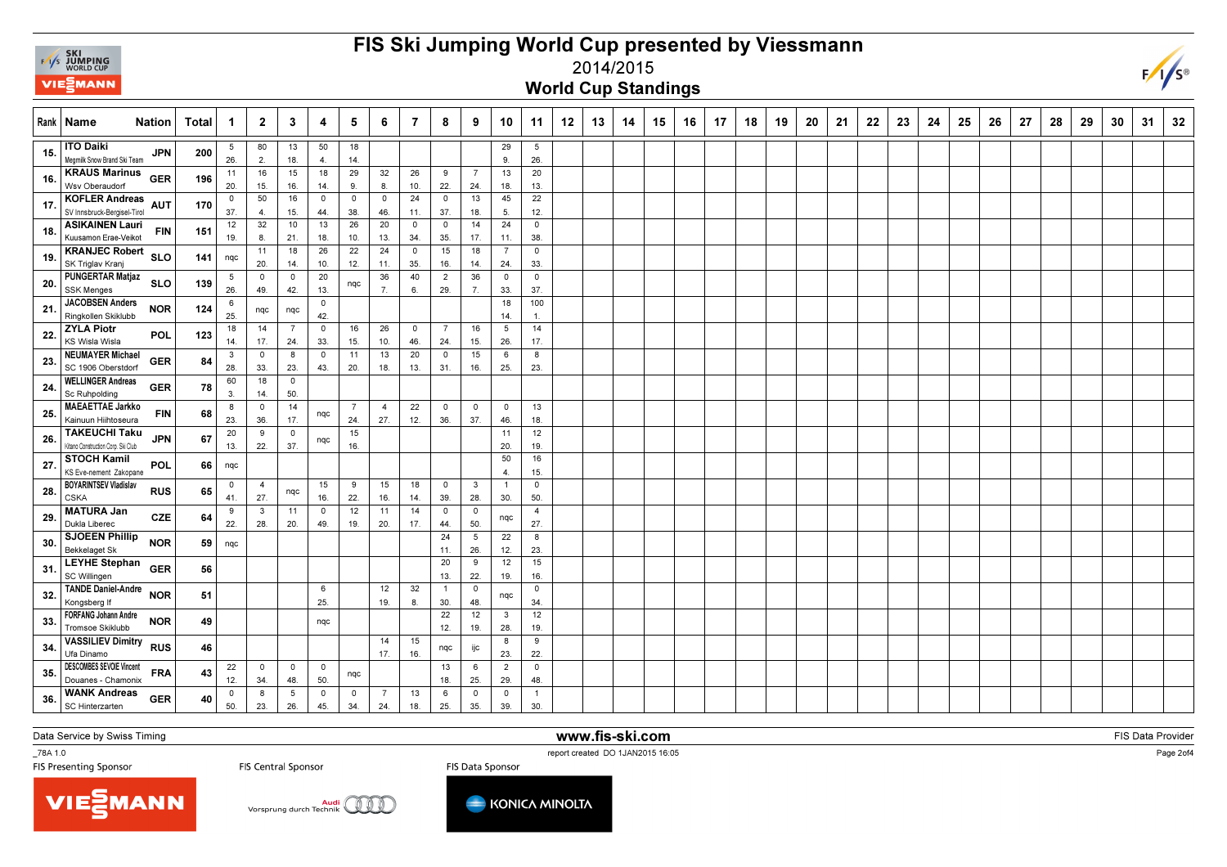

## FIS Ski Jumping World Cup presented by Viessmann2014/2015



World Cup Standings

|     | Rank   Name<br><b>Nation</b>                                             | Total | $\mathbf 1$        | $\mathbf{2}$                  | 3                     | 4                     | 5                     | 6                              | 7              | 8                              | 9                     | 10                    | 11                    | 12 | 13 | 14 | 15 | 16 | 17 | 18 | 19 | 20 | 21 | 22 | 23 | 24 | 25 | 26 | 27 | 28 | 29 | 30 | 31 | 32 |
|-----|--------------------------------------------------------------------------|-------|--------------------|-------------------------------|-----------------------|-----------------------|-----------------------|--------------------------------|----------------|--------------------------------|-----------------------|-----------------------|-----------------------|----|----|----|----|----|----|----|----|----|----|----|----|----|----|----|----|----|----|----|----|----|
| 15. | <b>ITO Daiki</b><br>JPN<br>Megmilk Snow Brand Ski Team                   | 200   | 5<br>26.           | 80<br>2.                      | 13<br>18.             | 50<br>4.              | 18<br>14.             |                                |                |                                |                       | 29<br>9.              | 5<br>26.              |    |    |    |    |    |    |    |    |    |    |    |    |    |    |    |    |    |    |    |    |    |
| 16. | <b>KRAUS Marinus</b><br><b>GER</b><br>Wsv Oberaudorf                     | 196   | 11<br>20.          | 16<br>15.                     | 15<br>16.             | 18<br>14.             | 29<br>9.              | 32<br>8.                       | 26<br>10.      | 9<br>22.                       | $\overline{7}$<br>24. | 13<br>18.             | 20<br>13.             |    |    |    |    |    |    |    |    |    |    |    |    |    |    |    |    |    |    |    |    |    |
| 17. | <b>KOFLER Andreas</b><br><b>AUT</b><br>SV Innsbruck-Bergisel-Tirol       | 170   | 0<br>37.           | 50<br>$\overline{\mathbf{4}}$ | 16<br>15.             | $\mathbf 0$<br>44.    | $\overline{0}$<br>38. | $\overline{\mathbf{0}}$<br>46. | 24<br>11.      | $\overline{0}$<br>37.          | 13<br>18.             | 45<br>5.              | 22<br>12.             |    |    |    |    |    |    |    |    |    |    |    |    |    |    |    |    |    |    |    |    |    |
| 18. | <b>ASIKAINEN Lauri</b><br><b>FIN</b><br>Kuusamon Erae-Veikot             | 151   | 12<br>19.          | 32<br>8.                      | 10<br>21.             | 13<br>18.             | 26<br>10.             | 20<br>13.                      | $\circ$<br>34. | $\overline{0}$<br>35.          | 14<br>17.             | 24<br>11.             | $\mathbf 0$<br>38.    |    |    |    |    |    |    |    |    |    |    |    |    |    |    |    |    |    |    |    |    |    |
| 19. | <b>KRANJEC Robert</b><br><b>SLO</b><br>SK Triglav Kranj                  | 141   | nqc                | 11<br>20.                     | 18<br>14.             | 26<br>10.             | 22<br>12.             | 24<br>11.                      | 0<br>35.       | 15<br>16.                      | 18<br>14.             | $\overline{7}$<br>24. | $\overline{0}$<br>33. |    |    |    |    |    |    |    |    |    |    |    |    |    |    |    |    |    |    |    |    |    |
| 20  | <b>PUNGERTAR Matjaz</b><br><b>SLO</b><br><b>SSK Menges</b>               | 139   | 5<br>26.           | 0<br>49.                      | $\overline{0}$<br>42. | 20<br>13.             | nqc                   | 36<br>7.                       | 40<br>6.       | $\overline{2}$<br>29.          | 36<br>7.              | $\circ$<br>33.        | $\mathbf 0$<br>37.    |    |    |    |    |    |    |    |    |    |    |    |    |    |    |    |    |    |    |    |    |    |
| 21  | <b>JACOBSEN Anders</b><br><b>NOR</b><br>Ringkollen Skiklubb              | 124   | 6<br>25.           | nqc                           | nqc                   | $\mathbf 0$<br>42.    |                       |                                |                |                                |                       | 18<br>14.             | 100<br>$\mathbf{1}$ . |    |    |    |    |    |    |    |    |    |    |    |    |    |    |    |    |    |    |    |    |    |
| 22. | <b>ZYLA Piotr</b><br>POL<br><b>KS Wisla Wisla</b>                        | 123   | 18<br>14.          | 14<br>17.                     | -7<br>24.             | $\overline{0}$<br>33. | 16<br>15.             | 26<br>10.                      | $\circ$<br>46. | $\overline{7}$<br>24.          | 16<br>15.             | 5<br>26.              | 14<br>17.             |    |    |    |    |    |    |    |    |    |    |    |    |    |    |    |    |    |    |    |    |    |
| 23. | <b>NEUMAYER Michael</b><br><b>GER</b><br>SC 1906 Oberstdorf              | 84    | 3<br>28.           | $\mathbf 0$<br>33.            | 8<br>23.              | $\overline{0}$<br>43. | 11<br>20.             | 13<br>18.                      | 20<br>13.      | $\overline{\mathbf{0}}$<br>31. | 15<br>16.             | 6<br>25.              | 8<br>23.              |    |    |    |    |    |    |    |    |    |    |    |    |    |    |    |    |    |    |    |    |    |
| 24. | <b>WELLINGER Andreas</b><br><b>GER</b><br>Sc Ruhpolding                  | 78    | 60<br>3.           | 18<br>14.                     | $\mathbf 0$<br>50.    |                       |                       |                                |                |                                |                       |                       |                       |    |    |    |    |    |    |    |    |    |    |    |    |    |    |    |    |    |    |    |    |    |
| 25  | <b>MAEAETTAE Jarkko</b><br><b>FIN</b><br>Kainuun Hiihtoseura             | 68    | 8<br>23.           | $^{\circ}$<br>36.             | 14<br>17.             | nqc                   | $\overline{7}$<br>24. | $\overline{4}$<br>27.          | 22<br>12.      | $\overline{\mathbf{0}}$<br>36. | $\mathbf 0$<br>37.    | $\overline{0}$<br>46. | 13<br>18.             |    |    |    |    |    |    |    |    |    |    |    |    |    |    |    |    |    |    |    |    |    |
| 26. | <b>TAKEUCHI Taku</b><br><b>JPN</b><br>Kitano Construction Corp. Ski Club | 67    | 20<br>13.          | 9<br>22.                      | $\overline{0}$<br>37. | nqc                   | 15<br>16.             |                                |                |                                |                       | 11<br>20.             | 12<br>19.             |    |    |    |    |    |    |    |    |    |    |    |    |    |    |    |    |    |    |    |    |    |
| 27. | <b>STOCH Kamil</b><br>POL<br>KS Eve-nement Zakopane                      | 66    | nqc                |                               |                       |                       |                       |                                |                |                                |                       | 50<br>$\overline{4}$  | 16<br>15.             |    |    |    |    |    |    |    |    |    |    |    |    |    |    |    |    |    |    |    |    |    |
| 28  | <b>BOYARINTSEV Vladislav</b><br><b>RUS</b><br><b>CSKA</b>                | 65    | $\mathbf 0$<br>41. | $\overline{4}$<br>27.         | nqc                   | 15<br>16.             | 9<br>22.              | 15<br>16.                      | 18<br>14.      | $\overline{0}$<br>39.          | $\mathbf{3}$<br>28.   | $\overline{1}$<br>30. | $\mathbf 0$<br>50.    |    |    |    |    |    |    |    |    |    |    |    |    |    |    |    |    |    |    |    |    |    |
| 29. | <b>MATURA Jan</b><br><b>CZE</b><br>Dukla Liberec                         | 64    | 9<br>22.           | $\mathbf{3}$<br>28.           | 11<br>20.             | $\overline{0}$<br>49. | 12<br>19.             | 11<br>20.                      | 14<br>17.      | $\mathbf 0$<br>44.             | 0<br>50.              | nqc                   | $\overline{4}$<br>27. |    |    |    |    |    |    |    |    |    |    |    |    |    |    |    |    |    |    |    |    |    |
| 30. | <b>SJOEEN Phillip</b><br><b>NOR</b><br><b>Bekkelaget Sk</b>              | 59    | nqc                |                               |                       |                       |                       |                                |                | 24<br>11.                      | 5<br>26.              | 22<br>12.             | 8<br>23.              |    |    |    |    |    |    |    |    |    |    |    |    |    |    |    |    |    |    |    |    |    |
| 31. | <b>LEYHE Stephan</b><br><b>GER</b><br>SC Willingen                       | 56    |                    |                               |                       |                       |                       |                                |                | 20<br>13.                      | 9<br>22.              | 12<br>19.             | 15<br>16.             |    |    |    |    |    |    |    |    |    |    |    |    |    |    |    |    |    |    |    |    |    |
| 32. | <b>TANDE Daniel-Andre</b><br><b>NOR</b><br>Kongsberg If                  | 51    |                    |                               |                       | 6<br>25.              |                       | 12<br>19.                      | 32<br>8.       | $\overline{1}$<br>30.          | $\mathbf 0$<br>48.    | nqc                   | $\mathbf 0$<br>34.    |    |    |    |    |    |    |    |    |    |    |    |    |    |    |    |    |    |    |    |    |    |
| 33. | <b>FORFANG Johann Andre</b><br><b>NOR</b><br><b>Tromsoe Skiklubb</b>     | 49    |                    |                               |                       | nqc                   |                       |                                |                | 22<br>12.                      | 12<br>19.             | $\mathbf{3}$<br>28.   | 12<br>19.             |    |    |    |    |    |    |    |    |    |    |    |    |    |    |    |    |    |    |    |    |    |
| 34  | <b>VASSILIEV Dimitry RUS</b><br>Ufa Dinamo                               | 46    |                    |                               |                       |                       |                       | 14<br>17.                      | 15<br>16.      | nqc                            | ijc                   | 8<br>23.              | 9<br>22.              |    |    |    |    |    |    |    |    |    |    |    |    |    |    |    |    |    |    |    |    |    |
| 35  | <b>DESCOMBES SEVOIE Vincent</b><br><b>FRA</b><br>Douanes - Chamonix      | 43    | 22<br>12.          | $^{\circ}$<br>34.             | $\mathbf 0$<br>48.    | $\mathbf 0$<br>50.    | nqc                   |                                |                | 13<br>18.                      | 6<br>25.              | $\overline{2}$<br>29. | $\mathbf 0$<br>48.    |    |    |    |    |    |    |    |    |    |    |    |    |    |    |    |    |    |    |    |    |    |
| 36. | <b>WANK Andreas</b><br><b>GER</b><br>SC Hinterzarten                     | 40    | $\circ$<br>50.     | 8<br>23.                      | 5<br>26.              | $\mathsf 0$<br>45.    | $\mathbf 0$<br>34.    | 7<br>24.                       | 13<br>18.      | - 6<br>25.                     | $\mathbf 0$<br>35.    | $\overline{0}$<br>39. | $\overline{1}$<br>30. |    |    |    |    |    |    |    |    |    |    |    |    |    |    |    |    |    |    |    |    |    |

Data Service by Swiss Timing

\_78A 1.0

TER 1.0<br>FIS Presenting Sponsor The Summer of the Central Sponsor The Central Sponsor FIS Data Sponsor The Sponsor FIS<br>FIS Presenting Sponsor The Sponsor The Section of the Sponsor The Sponsor The Sponsor The Sponsor The Sp

www.fis-ski.com

FIS Data Provider

Page 2of4

 $F/I/S^{\circledcirc}$ 





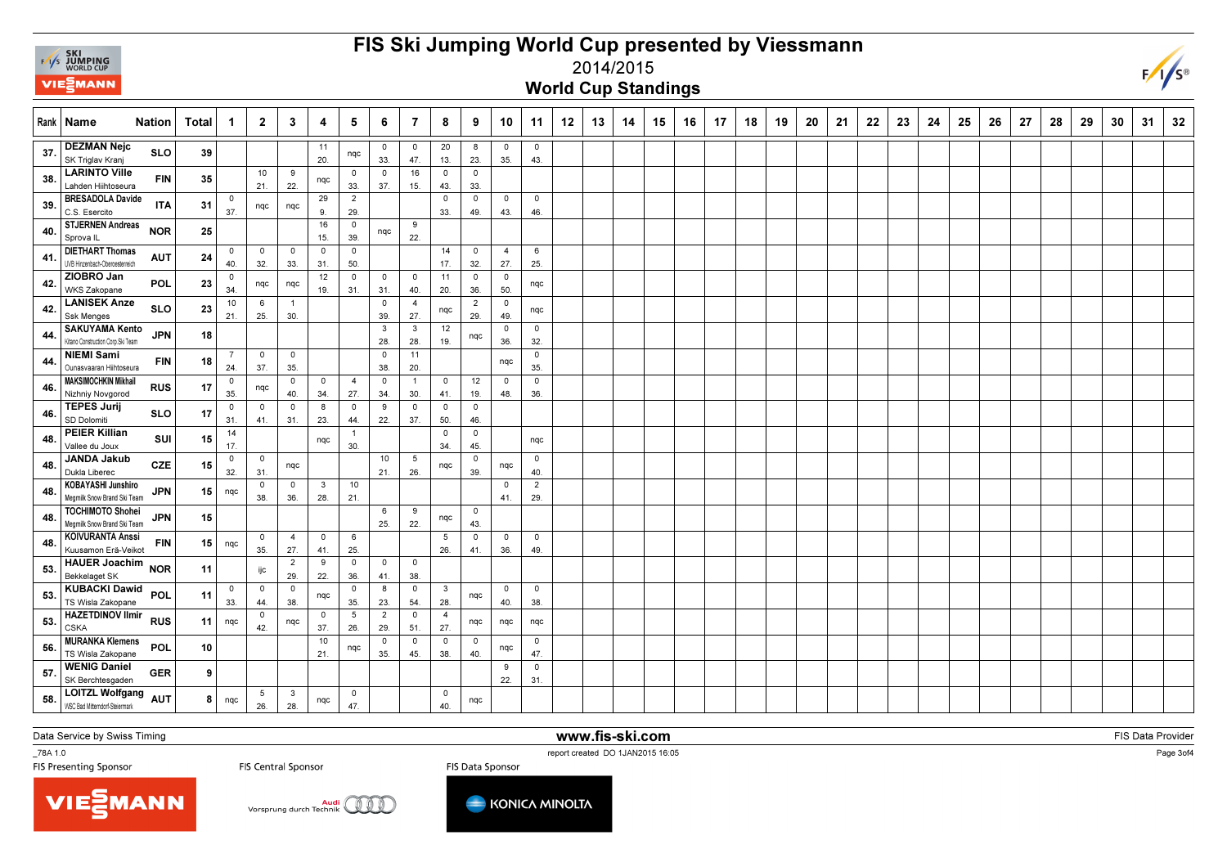

## FIS Ski Jumping World Cup presented by Viessmann



2014/2015

World Cup Standings

|     | Rank   Name                                                 | <b>Nation</b> | Total | $\mathbf{1}$          | $\overline{2}$     | $\mathbf{3}$          | 4                   | 5                     | 6                     | $\overline{7}$        | 8                     | 9                              | 10                    | 11                    | 12 | 13 | 14 | 15 | 16 | 17 | 18 | 19 | 20 | 21 | 22 | 23 | 24 | 25 | 26 | 27 | 28 | 29 | 30 | 31 | 32 |
|-----|-------------------------------------------------------------|---------------|-------|-----------------------|--------------------|-----------------------|---------------------|-----------------------|-----------------------|-----------------------|-----------------------|--------------------------------|-----------------------|-----------------------|----|----|----|----|----|----|----|----|----|----|----|----|----|----|----|----|----|----|----|----|----|
| 37  | <b>DEZMAN Nejc</b><br>SK Triglav Kranj                      | <b>SLO</b>    | 39    |                       |                    |                       | 11<br>20.           | nqc                   | $\mathbf 0$<br>33.    | $\mathbf 0$<br>47.    | 20<br>13.             | 8<br>23.                       | $^{\circ}$<br>35.     | $\overline{0}$<br>43. |    |    |    |    |    |    |    |    |    |    |    |    |    |    |    |    |    |    |    |    |    |
| 38. | <b>LARINTO Ville</b><br>Lahden Hiihtoseura                  | <b>FIN</b>    | 35    |                       | 10<br>21.          | 9<br>22.              | nqc                 | $^{\circ}$<br>33.     | $^{\circ}$<br>37.     | 16<br>15.             | $\mathbf 0$<br>43.    | $\overline{\mathbf{0}}$<br>33. |                       |                       |    |    |    |    |    |    |    |    |    |    |    |    |    |    |    |    |    |    |    |    |    |
| 39. | <b>BRESADOLA Davide</b><br>C.S. Esercito                    | <b>ITA</b>    | 31    | $\mathbf 0$<br>37.    | nqc                | nqc                   | 29<br>9.            | $\overline{2}$<br>29. |                       |                       | $\overline{0}$<br>33. | $\mathsf 0$<br>49.             | $\circ$<br>43.        | $\circ$<br>46.        |    |    |    |    |    |    |    |    |    |    |    |    |    |    |    |    |    |    |    |    |    |
| 40  | <b>STJERNEN Andreas</b><br>Sprova <sub>IL</sub>             | <b>NOR</b>    | 25    |                       |                    |                       | 16<br>15.           | $\overline{0}$<br>39. | nqc                   | 9<br>22.              |                       |                                |                       |                       |    |    |    |    |    |    |    |    |    |    |    |    |    |    |    |    |    |    |    |    |    |
| 41. | <b>DIETHART Thomas</b><br>UVB Hinzenbach-Oberoesterreich    | <b>AUT</b>    | 24    | $\mathbf 0$<br>40.    | $\mathbf 0$<br>32. | $\mathbf 0$<br>33.    | $\mathbf 0$<br>31.  | $\mathbf 0$<br>50.    |                       |                       | 14<br>17.             | $\mathbf 0$<br>32.             | $\overline{4}$<br>27. | 6<br>25.              |    |    |    |    |    |    |    |    |    |    |    |    |    |    |    |    |    |    |    |    |    |
| 42. | ZIOBRO Jan<br>WKS Zakopane                                  | <b>POL</b>    | 23    | $\mathbf 0$<br>34.    | nqc                | nqc                   | 12<br>19.           | $\overline{0}$<br>31. | $\mathbf 0$<br>31.    | $\overline{0}$<br>40. | 11<br>20.             | $\overline{\mathbf{0}}$<br>36. | $\circ$<br>50.        | nqc                   |    |    |    |    |    |    |    |    |    |    |    |    |    |    |    |    |    |    |    |    |    |
| 42  | <b>LANISEK Anze</b><br><b>Ssk Menges</b>                    | <b>SLO</b>    | 23    | 10<br>21.             | 6<br>25.           | $\overline{1}$<br>30. |                     |                       | $^{\circ}$<br>39.     | $\overline{4}$<br>27. | nqc                   | $\overline{2}$<br>29.          | $\mathbf 0$<br>49.    | nqc                   |    |    |    |    |    |    |    |    |    |    |    |    |    |    |    |    |    |    |    |    |    |
| 44  | <b>SAKUYAMA Kento</b><br>Kitano Construction Corp. Ski Team | <b>JPN</b>    | 18    |                       |                    |                       |                     |                       | $\mathbf{3}$<br>28.   | $\mathbf{3}$<br>28.   | 12<br>19.             | nqc                            | $\circ$<br>36.        | $\overline{0}$<br>32. |    |    |    |    |    |    |    |    |    |    |    |    |    |    |    |    |    |    |    |    |    |
| 44  | <b>NIEMI Sami</b><br>Ounasvaaran Hiihtoseura                | <b>FIN</b>    | 18    | -7<br>24.             | $\mathbf 0$<br>37. | $\mathbf 0$<br>35.    |                     |                       | $\mathbf 0$<br>38.    | 11<br>20.             |                       |                                | nqc                   | $\mathbf 0$<br>35.    |    |    |    |    |    |    |    |    |    |    |    |    |    |    |    |    |    |    |    |    |    |
| 46. | <b>MAKSIMOCHKIN Mikhail</b><br>Nizhniy Novgorod             | <b>RUS</b>    | 17    | $\overline{0}$<br>35. | nqc                | 0<br>40.              | $^{\circ}$<br>34.   | $\overline{4}$<br>27. | $^{\circ}$<br>34.     | $\overline{1}$<br>30. | $\mathbf 0$<br>41.    | 12<br>19.                      | $\mathbf 0$<br>48.    | 0<br>36.              |    |    |    |    |    |    |    |    |    |    |    |    |    |    |    |    |    |    |    |    |    |
| 46. | <b>TEPES Jurij</b><br>SD Dolomiti                           | <b>SLO</b>    | 17    | $\overline{0}$<br>31. | $\mathbf 0$<br>41. | $\mathbf 0$<br>31.    | 8<br>23.            | $\overline{0}$<br>44. | 9<br>22.              | $\overline{0}$<br>37. | $\overline{0}$<br>50. | $\overline{\mathbf{0}}$<br>46. |                       |                       |    |    |    |    |    |    |    |    |    |    |    |    |    |    |    |    |    |    |    |    |    |
| 48. | <b>PEIER Killian</b><br>Vallee du Joux                      | SUI           | 15    | 14<br>17.             |                    |                       | nqc                 | $\overline{1}$<br>30. |                       |                       | $\overline{0}$<br>34. | $\mathbf 0$<br>45.             |                       | nqc                   |    |    |    |    |    |    |    |    |    |    |    |    |    |    |    |    |    |    |    |    |    |
| 48. | <b>JANDA Jakub</b><br>Dukla Liberec                         | <b>CZE</b>    | 15    | 0<br>32.              | $\circ$<br>31.     | nqc                   |                     |                       | 10<br>21.             | 5<br>26.              | nqc                   | $\overline{\mathbf{0}}$<br>39. | nqc                   | $\circ$<br>40.        |    |    |    |    |    |    |    |    |    |    |    |    |    |    |    |    |    |    |    |    |    |
| 48. | <b>KOBAYASHI Junshiro</b><br>Megmilk Snow Brand Ski Team    | <b>JPN</b>    | 15    | nqc                   | $\circ$<br>38.     | $\circ$<br>36.        | $\mathbf{3}$<br>28. | 10<br>21.             |                       |                       |                       |                                | $\circ$<br>41.        | $\overline{2}$<br>29. |    |    |    |    |    |    |    |    |    |    |    |    |    |    |    |    |    |    |    |    |    |
| 48. | <b>TOCHIMOTO Shohei</b><br>Megmilk Snow Brand Ski Team      | <b>JPN</b>    | 15    |                       |                    |                       |                     |                       | 6<br>25.              | 9<br>22.              | nqc                   | $\mathbf 0$<br>43.             |                       |                       |    |    |    |    |    |    |    |    |    |    |    |    |    |    |    |    |    |    |    |    |    |
| 48. | <b>KOIVURANTA Anssi</b><br>Kuusamon Erä-Veikot              | <b>FIN</b>    | 15    | nqc                   | $\mathbf 0$<br>35. | $\overline{4}$<br>27. | $\mathbf 0$<br>41.  | 6<br>25.              |                       |                       | 5<br>26.              | $\overline{\mathbf{0}}$<br>41. | $\circ$<br>36.        | $\mathbf 0$<br>49.    |    |    |    |    |    |    |    |    |    |    |    |    |    |    |    |    |    |    |    |    |    |
| 53  | <b>HAUER Joachim</b><br>Bekkelaget SK                       | <b>NOR</b>    | 11    |                       | ijc                | $\overline{2}$<br>29. | 9<br>22.            | $\mathbf 0$<br>36.    | $\mathbf 0$<br>41.    | $\overline{0}$<br>38. |                       |                                |                       |                       |    |    |    |    |    |    |    |    |    |    |    |    |    |    |    |    |    |    |    |    |    |
| 53  | <b>KUBACKI Dawid</b><br>TS Wisla Zakopane                   | POL           | 11    | $\mathbf 0$<br>33.    | $\mathbf 0$<br>44. | $\mathbf 0$<br>38.    | nqc                 | $\circ$<br>35.        | 8<br>23.              | $\mathbf 0$<br>54.    | $\mathbf{3}$<br>28.   | nqc                            | $\circ$<br>40.        | $\mathbf 0$<br>38.    |    |    |    |    |    |    |    |    |    |    |    |    |    |    |    |    |    |    |    |    |    |
| 53. | <b>HAZETDINOV Ilmir</b><br><b>CSKA</b>                      | <b>RUS</b>    | 11    | nqc                   | $\mathbf 0$<br>42. | nqc                   | $\mathbf 0$<br>37.  | 5<br>26.              | $\overline{2}$<br>29. | $\mathbf 0$<br>51.    | $\overline{4}$<br>27. | nqc                            | nqc                   | nqc                   |    |    |    |    |    |    |    |    |    |    |    |    |    |    |    |    |    |    |    |    |    |
| 56. | <b>MURANKA Klemens</b><br>TS Wisla Zakopane                 | POL           | 10    |                       |                    |                       | 10<br>21.           | nqc                   | $\circ$<br>35.        | $\circ$<br>45.        | $\overline{0}$<br>38. | $\overline{\mathbf{0}}$<br>40. | nqc                   | $\overline{0}$<br>47. |    |    |    |    |    |    |    |    |    |    |    |    |    |    |    |    |    |    |    |    |    |
| 57. | <b>WENIG Daniel</b><br>SK Berchtesgaden                     | <b>GER</b>    | 9     |                       |                    |                       |                     |                       |                       |                       |                       |                                | 9<br>22.              | $\mathbf 0$<br>31.    |    |    |    |    |    |    |    |    |    |    |    |    |    |    |    |    |    |    |    |    |    |
| 58. | LOITZL Wolfgang AUT<br>WSC Bad Mitterndorf-Steiermark       |               | 8     | nqc                   | 5<br>26.           | $\mathbf{3}$<br>28.   | nqc                 | $^{\circ}$<br>47.     |                       |                       | $\mathbf 0$<br>40.    | nqc                            |                       |                       |    |    |    |    |    |    |    |    |    |    |    |    |    |    |    |    |    |    |    |    |    |

Data Service by Swiss Timing

\_78A 1.0

TER 1.0<br>FIS Presenting Sponsor The Summer of the Central Sponsor The Central Sponsor FIS Data Sponsor The Sponsor FIS<br>FIS Presenting Sponsor The Sponsor The Section of the Sponsor The Sponsor The Sponsor The Sponsor The Sp

www.fis-ski.com

FIS Data Provider

Page 3of4